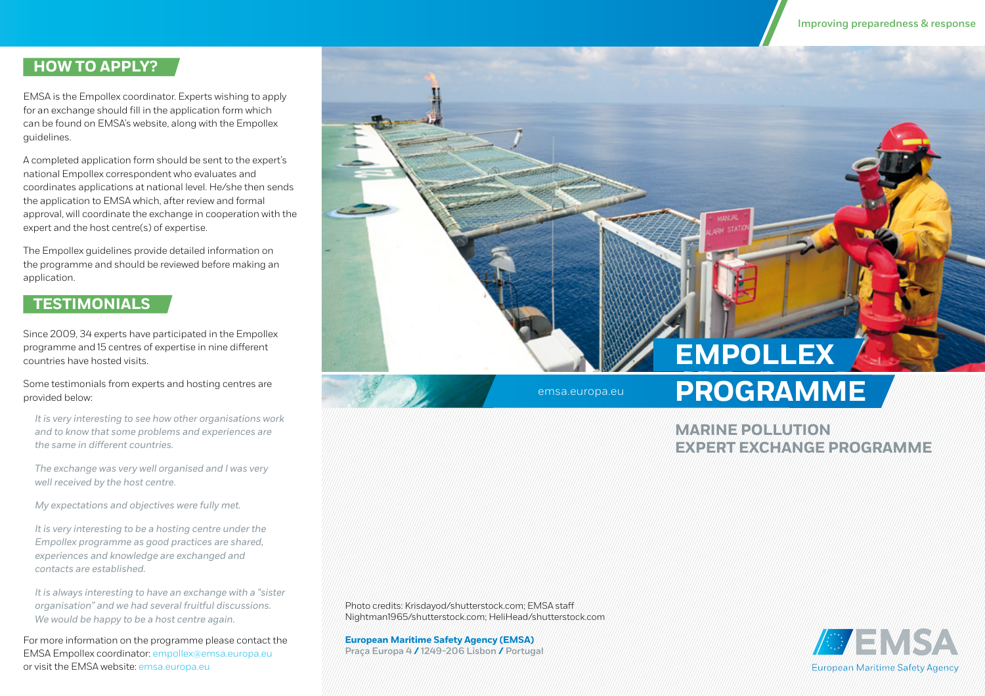### **HOW TO APPLY?**

EMSA is the Empollex coordinator. Experts wishing to apply for an exchange should fill in the application form which can be found on EMSA's website, along with the Empollex guidelines.

A completed application form should be sent to the expert's national Empollex correspondent who evaluates and coordinates applications at national level. He/she then sends the application to EMSA which, after review and formal approval, will coordinate the exchange in cooperation with the expert and the host centre(s) of expertise.

The Empollex guidelines provide detailed information on the programme and should be reviewed before making an application.

### **TESTIMONIALS**

Since 2009, 34 experts have participated in the Empollex programme and 15 centres of expertise in nine different countries have hosted visits.

Some testimonials from experts and hosting centres are provided below:

*It is very interesting to see how other organisations work and to know that some problems and experiences are the same in different countries.*

*The exchange was very well organised and I was very well received by the host centre.*

*My expectations and objectives were fully met.*

*It is very interesting to be a hosting centre under the Empollex programme as good practices are shared, experiences and knowledge are exchanged and contacts are established.*

*It is always interesting to have an exchange with a "sister organisation" and we had several fruitful discussions. We would be happy to be a host centre again.*

For more information on the programme please contact the EMSA Empollex coordinator: empollex@emsa.europa.eu or visit the EMSA website: [emsa.europa.eu](http://emsa.europa.eu)

**EMPOLLEX**

# **emsa.europa.eu** PROGRAMME

### **MARINE POLLUTION EXPERT EXCHANGE PROGRAMME**

Photo credits: Krisdayod/shutterstock.com; EMSA staff Nightman1965/shutterstock.com; HeliHead/shutterstock.com

**European Maritime Safety Agency (EMSA)**  Praça Europa 4 **/** 1249-206 Lisbon **/** Portugal